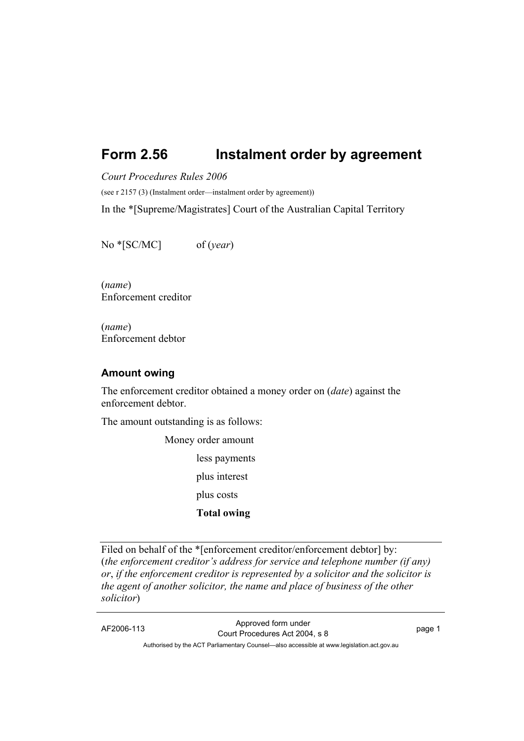# **Form 2.56 Instalment order by agreement**

*Court Procedures Rules 2006* 

(see r 2157 (3) (Instalment order—instalment order by agreement))

In the \*[Supreme/Magistrates] Court of the Australian Capital Territory

No \*[SC/MC] of (*year*)

(*name*) Enforcement creditor

(*name*) Enforcement debtor

#### **Amount owing**

The enforcement creditor obtained a money order on (*date*) against the enforcement debtor.

The amount outstanding is as follows:

 Money order amount less payments plus interest plus costs  **Total owing** 

Filed on behalf of the \*[enforcement creditor/enforcement debtor] by: (*the enforcement creditor's address for service and telephone number (if any) or*, *if the enforcement creditor is represented by a solicitor and the solicitor is the agent of another solicitor, the name and place of business of the other solicitor*)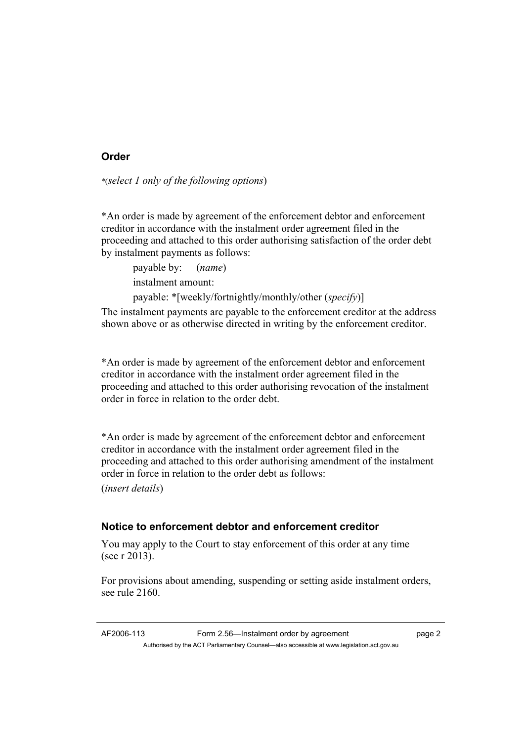## **Order**

*\**(*select 1 only of the following options*)

\*An order is made by agreement of the enforcement debtor and enforcement creditor in accordance with the instalment order agreement filed in the proceeding and attached to this order authorising satisfaction of the order debt by instalment payments as follows:

 payable by: (*name*) instalment amount: payable: \*[weekly/fortnightly/monthly/other (*specify*)]

The instalment payments are payable to the enforcement creditor at the address shown above or as otherwise directed in writing by the enforcement creditor.

\*An order is made by agreement of the enforcement debtor and enforcement creditor in accordance with the instalment order agreement filed in the proceeding and attached to this order authorising revocation of the instalment order in force in relation to the order debt.

\*An order is made by agreement of the enforcement debtor and enforcement creditor in accordance with the instalment order agreement filed in the proceeding and attached to this order authorising amendment of the instalment order in force in relation to the order debt as follows:

(*insert details*)

### **Notice to enforcement debtor and enforcement creditor**

You may apply to the Court to stay enforcement of this order at any time (see r 2013).

For provisions about amending, suspending or setting aside instalment orders, see rule 2160.